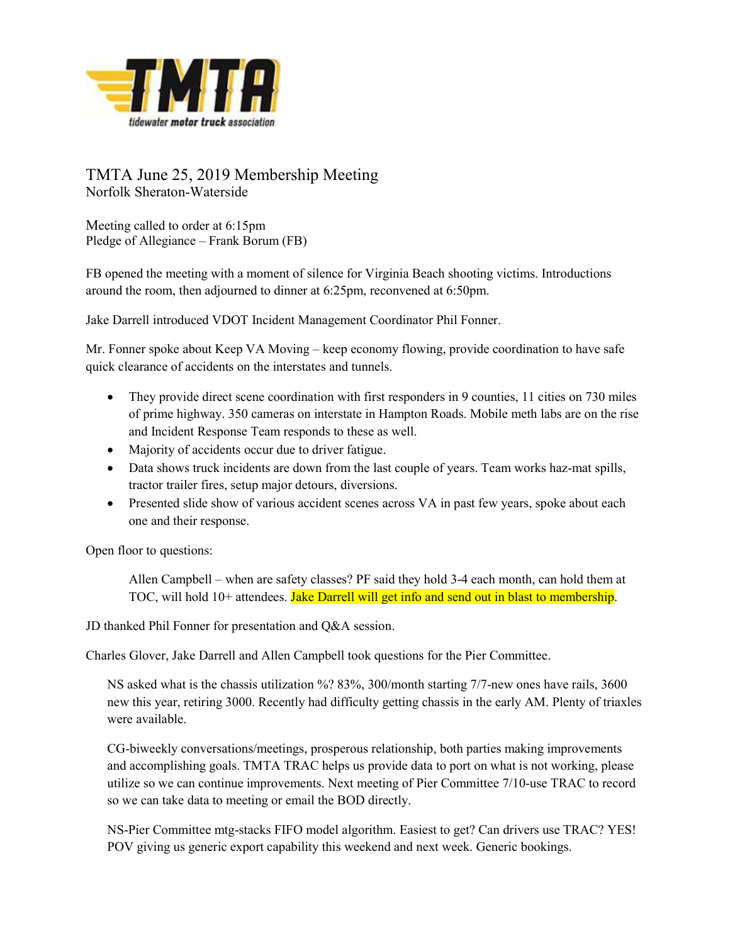

## TMTA June 25, 2019 Membership Meeting Norfolk Sheraton-Waterside

Meeting called to order at 6:15pm Pledge of Allegiance – Frank Borum (FB)

FB opened the meeting with a moment of silence for Virginia Beach shooting victims. Introductions around the room, then adjourned to dinner at 6:25pm, reconvened at 6:50pm.

Jake Darrell introduced VDOT Incident Management Coordinator Phil Fonner.

Mr. Fonner spoke about Keep VA Moving – keep economy flowing, provide coordination to have safe quick clearance of accidents on the interstates and tunnels.

- They provide direct scene coordination with first responders in 9 counties, 11 cities on 730 miles of prime highway. 350 cameras on interstate in Hampton Roads. Mobile meth labs are on the rise and Incident Response Team responds to these as well.
- Majority of accidents occur due to driver fatigue.
- Data shows truck incidents are down from the last couple of years. Team works haz-mat spills, tractor trailer fires, setup major detours, diversions.
- Presented slide show of various accident scenes across VA in past few years, spoke about each one and their response.

Open floor to questions:

Allen Campbell – when are safety classes? PF said they hold 3-4 each month, can hold them at TOC, will hold 10+ attendees. Jake Darrell will get info and send out in blast to membership.

JD thanked Phil Fonner for presentation and Q&A session.

Charles Glover, Jake Darrell and Allen Campbell took questions for the Pier Committee.

NS asked what is the chassis utilization %? 83%, 300/month starting 7/7-new ones have rails, 3600 new this year, retiring 3000. Recently had difficulty getting chassis in the early AM. Plenty of triaxles were available.

CG-biweekly conversations/meetings, prosperous relationship, both parties making improvements and accomplishing goals. TMTA TRAC helps us provide data to port on what is not working, please utilize so we can continue improvements. Next meeting of Pier Committee 7/10-use TRAC to record so we can take data to meeting or email the BOD directly.

NS-Pier Committee mtg-stacks FIFO model algorithm. Easiest to get? Can drivers use TRAC? YES! POV giving us generic export capability this weekend and next week. Generic bookings.